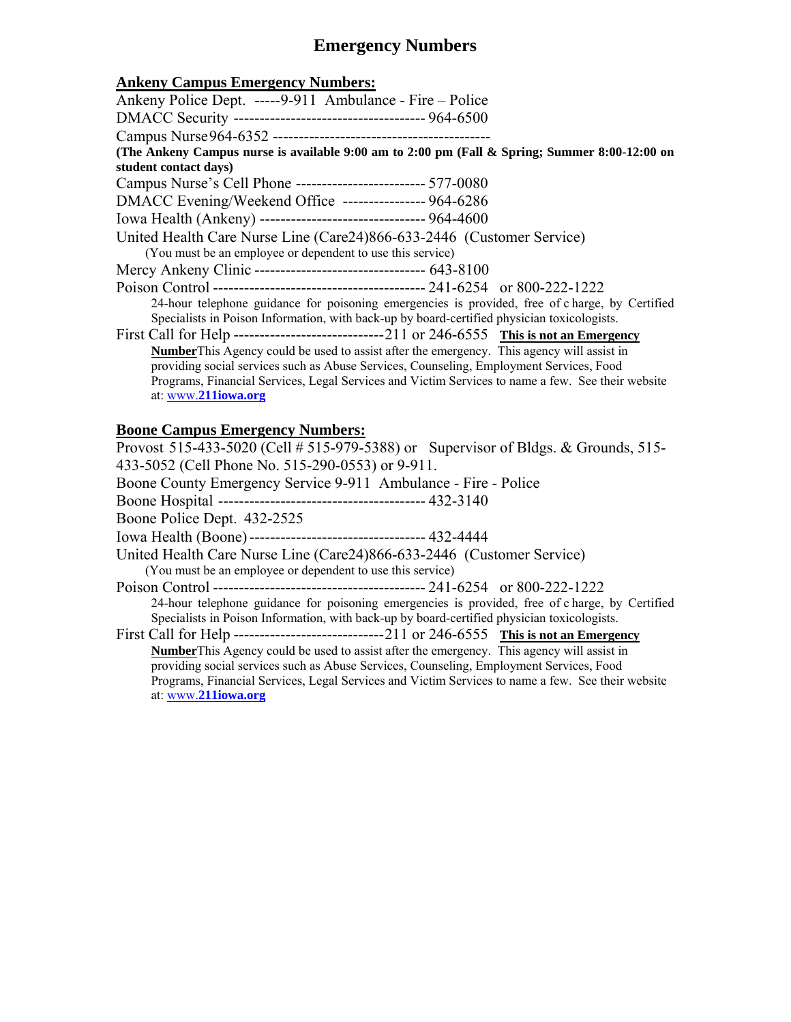# **Emergency Numbers**

### **Ankeny Campus Emergency Numbers:**

| ликси, сатрав шистелку ганноств                                                                   |
|---------------------------------------------------------------------------------------------------|
| Ankeny Police Dept. -----9-911 Ambulance - Fire - Police                                          |
|                                                                                                   |
|                                                                                                   |
| (The Ankeny Campus nurse is available 9:00 am to 2:00 pm (Fall & Spring; Summer 8:00-12:00 on     |
| student contact days)                                                                             |
| Campus Nurse's Cell Phone -------------------------- 577-0080                                     |
| DMACC Evening/Weekend Office ---------------- 964-6286                                            |
| Iowa Health (Ankeny) --------------------------------- 964-4600                                   |
| United Health Care Nurse Line (Care 24) 866-633-2446 (Customer Service)                           |
| (You must be an employee or dependent to use this service)                                        |
| Mercy Ankeny Clinic -------------------------------- 643-8100                                     |
|                                                                                                   |
| 24-hour telephone guidance for poisoning emergencies is provided, free of charge, by Certified    |
| Specialists in Poison Information, with back-up by board-certified physician toxicologists.       |
|                                                                                                   |
| <b>Number</b> This Agency could be used to assist after the emergency. This agency will assist in |
| providing social services such as Abuse Services, Counseling, Employment Services, Food           |
| Programs, Financial Services, Legal Services and Victim Services to name a few. See their website |
| at: www.211iowa.org                                                                               |

## **Boone Campus Emergency Numbers:**

| Provost 515-433-5020 (Cell # 515-979-5388) or Supervisor of Bldgs. & Grounds, 515-                                                                                                            |  |  |
|-----------------------------------------------------------------------------------------------------------------------------------------------------------------------------------------------|--|--|
| 433-5052 (Cell Phone No. 515-290-0553) or 9-911.                                                                                                                                              |  |  |
| Boone County Emergency Service 9-911 Ambulance - Fire - Police                                                                                                                                |  |  |
|                                                                                                                                                                                               |  |  |
| Boone Police Dept. 432-2525                                                                                                                                                                   |  |  |
| Iowa Health (Boone) ---------------------------------- 432-4444                                                                                                                               |  |  |
| United Health Care Nurse Line (Care24)866-633-2446 (Customer Service)<br>(You must be an employee or dependent to use this service)                                                           |  |  |
|                                                                                                                                                                                               |  |  |
| 24-hour telephone guidance for poisoning emergencies is provided, free of charge, by Certified<br>Specialists in Poison Information, with back-up by board-certified physician toxicologists. |  |  |
|                                                                                                                                                                                               |  |  |
| <b>Number</b> This Agency could be used to assist after the emergency. This agency will assist in                                                                                             |  |  |
| providing social services such as Abuse Services, Counseling, Employment Services, Food                                                                                                       |  |  |
| Programs, Financial Services, Legal Services and Victim Services to name a few. See their website                                                                                             |  |  |
| at: www.211iowa.org                                                                                                                                                                           |  |  |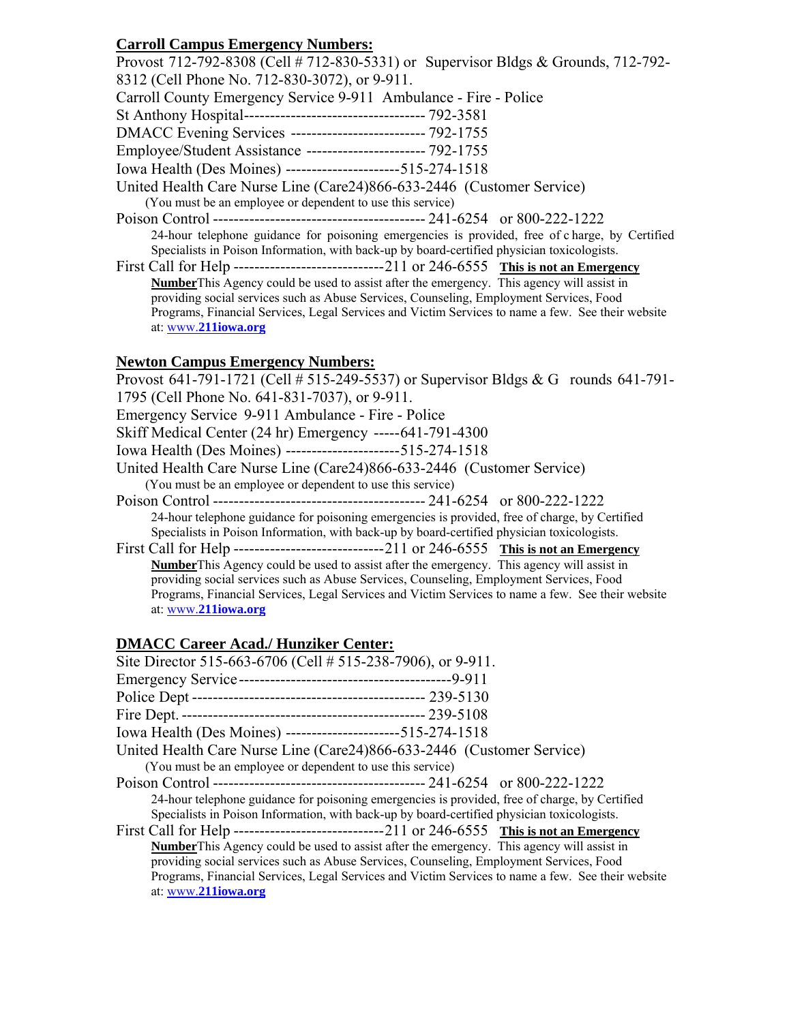### **Carroll Campus Emergency Numbers:**

 Specialists in Poison Information, with back-up by board-certified physician toxicologists. **Number**This Agency could be used to assist after the emergency. This agency will assist in providing social services such as Abuse Services, Counseling, Employment Services, Food Programs, Financial Services, Legal Services and Victim Services to name a few. See their website Provost 712-792-8308 (Cell # 712-830-5331) or Supervisor Bldgs & Grounds, 712-792- 8312 (Cell Phone No. 712-830-3072), or 9-911. Carroll County Emergency Service 9-911 Ambulance - Fire - Police St Anthony Hospital ----------------------------------- 792-3581 DMACC Evening Services -------------------------- 792-1755 Employee/Student Assistance ----------------------- 792-1755 Iowa Health (Des Moines) ---------------------- 515-274-1518 United Health Care Nurse Line (Care24)866-633-2446 (Customer Service) (You must be an employee or dependent to use this service) Poison Control ----------------------------------------- 241-6254 or 800-222-1222 24-hour telephone guidance for poisoning emergencies is provided, free of c harge, by Certified First Call for Help ----------------------------- 211 or 246-6555 **This is not an Emergency**  at: www.**[211iowa.org](www.211iowa.org)** 

#### **Newton Campus Emergency Numbers:**

 Specialists in Poison Information, with back-up by board-certified physician toxicologists. **Number**This Agency could be used to assist after the emergency. This agency will assist in providing social services such as Abuse Services, Counseling, Employment Services, Food Programs, Financial Services, Legal Services and Victim Services to name a few. See their website Provost 641-791-1721 (Cell # 515-249-5537) or Supervisor Bldgs & G rounds 641-791- 1795 (Cell Phone No. 641-831-7037), or 9-911. Emergency Service 9-911 Ambulance - Fire - Police Skiff Medical Center (24 hr) Emergency ----- 641-791-4300 Iowa Health (Des Moines) ---------------------- 515-274-1518 United Health Care Nurse Line (Care24)866-633-2446 (Customer Service) (You must be an employee or dependent to use this service) Poison Control ----------------------------------------- 241-6254 or 800-222-1222 24-hour telephone guidance for poisoning emergencies is provided, free of charge, by Certified First Call for Help ----------------------------- 211 or 246-6555 **This is not an Emergency**  at: www.**[211iowa.org](www.211iowa.org)** 

### **DMACC Career Acad./ Hunziker Center:**

| Site Director 515-663-6706 (Cell # 515-238-7906), or 9-911.                                       |
|---------------------------------------------------------------------------------------------------|
|                                                                                                   |
|                                                                                                   |
|                                                                                                   |
| Iowa Health (Des Moines) ----------------------515-274-1518                                       |
| United Health Care Nurse Line (Care24)866-633-2446 (Customer Service)                             |
| (You must be an employee or dependent to use this service)                                        |
|                                                                                                   |
| 24-hour telephone guidance for poisoning emergencies is provided, free of charge, by Certified    |
| Specialists in Poison Information, with back-up by board-certified physician toxicologists.       |
|                                                                                                   |
| <b>Number</b> This Agency could be used to assist after the emergency. This agency will assist in |
| providing social services such as Abuse Services, Counseling, Employment Services, Food           |
| Programs, Financial Services, Legal Services and Victim Services to name a few. See their website |
| at: www.211iowa.org                                                                               |